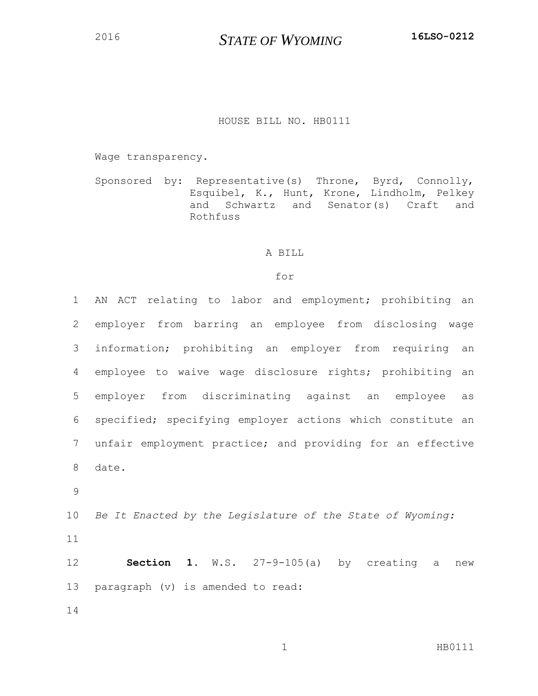*STATE OF WYOMING* **16LSO-0212**

## HOUSE BILL NO. HB0111

Wage transparency.

Sponsored by: Representative(s) Throne, Byrd, Connolly, Esquibel, K., Hunt, Krone, Lindholm, Pelkey and Schwartz and Senator(s) Craft and Rothfuss

## A BILL

## for

| $\mathbf{1}$ | AN ACT relating to labor and employment; prohibiting an    |
|--------------|------------------------------------------------------------|
| 2            | employer from barring an employee from disclosing wage     |
| 3            | information; prohibiting an employer from requiring an     |
| 4            | employee to waive wage disclosure rights; prohibiting an   |
| 5            | employer from discriminating against an employee<br>as     |
| 6            | specified; specifying employer actions which constitute an |
| 7            | unfair employment practice; and providing for an effective |
| 8            | date.                                                      |
| 9            |                                                            |
| 10           | Be It Enacted by the Legislature of the State of Wyoming:  |
| 11           |                                                            |
| 12           | <b>Section 1.</b> W.S. $27-9-105(a)$ by creating a<br>new  |
| 13           | paragraph (v) is amended to read:                          |
| 14           |                                                            |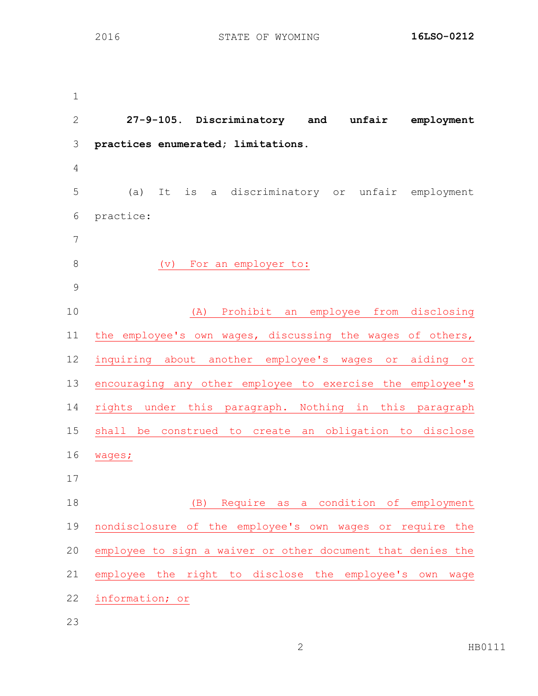**27-9-105. Discriminatory and unfair employment practices enumerated; limitations.** (a) It is a discriminatory or unfair employment practice: 8 (v) For an employer to: (A) Prohibit an employee from disclosing the employee's own wages, discussing the wages of others, inquiring about another employee's wages or aiding or encouraging any other employee to exercise the employee's rights under this paragraph. Nothing in this paragraph shall be construed to create an obligation to disclose wages; (B) Require as a condition of employment nondisclosure of the employee's own wages or require the employee to sign a waiver or other document that denies the employee the right to disclose the employee's own wage information; or